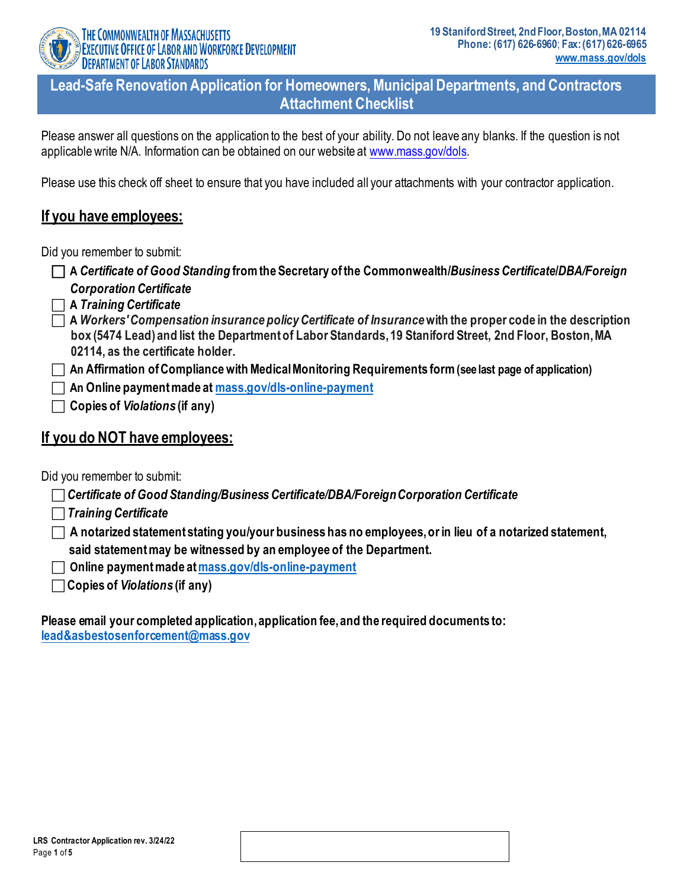

THE COMMONWEALTH OF MASSACHUSETTS EXECUTIVE OFFICE OF LABOR AND WORKFORCE DEVELOPMENT **DEPARTMENT OF LABOR STANDARDS** 

**Lead-Safe Renovation Application for Homeowners, Municipal Departments, and Contractors Attachment Checklist**

Please answer all questions on the application to the best of your ability. Do not leave any blanks. If the question is not applicable write N/A. Information can be obtained on our website at [www.mass.gov/dols.](http://www.mass.gov/dols)

Please use this check off sheet to ensure that you have included all your attachments with your contractor application.

# **If you have employees:**

Did you remember to submit:

- **A** *Certificate of Good Standing* **from the Secretary of the Commonwealth/***Business Certificate***/***DBA/Foreign Corporation Certificate*
- **A** *Training Certificate*
- **A** *Workers' Compensation insurance policy Certificate of Insurance***with the proper code in the description box (5474 Lead) and list the Department of Labor Standards, 19 Staniford Street, 2nd Floor, Boston, MA 02114, as the certificate holder.**
- **An Affirmation ofCompliancewithMedicalMonitoring Requirements form(see last page of application)**

**An Online paymentmade at [mass.gov/dls-online-payment](http://www.mass.gov/dls-online-payment)**

**Copies of** *Violations* **(if any)**

# **If you do NOT have employees:**

Did you remember to submit:

| $\Box$ Certificate of Good Standing/Business Certificate/DBA/Foreign Corporation Certificate |  |
|----------------------------------------------------------------------------------------------|--|

- *Training Certificate*
- **A notarized statement stating you/your business has no employees,orin lieu of a notarized statement, said statementmay be witnessed by an employee of the Department.**
- **Online paymentmade a[tmass.gov/dls-online-payment](http://www.mass.gov/dls-online-payment)**
- **Copies of** *Violations* **(if any)**

**Please email your completed application,application fee,and the required documents to: [lead&asbestosenforcement@mass.gov](mailto:lead&asbestosenforcement@mass.gov)**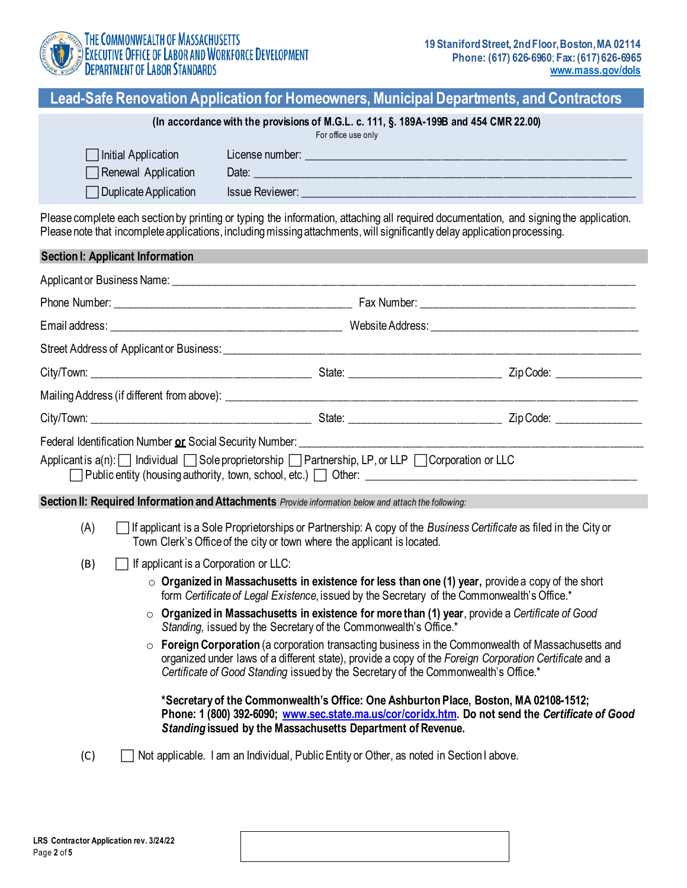

# **Lead-Safe Renovation Application for Homeowners, Municipal Departments, and Contractors**

#### **(In accordancewith the provisions of M.G.L. c. 111, §. 189A-199B and 454 CMR 22.00)**

For office use only

| Initial Application          | License number: |
|------------------------------|-----------------|
| Renewal Application          | Date:           |
| $\Box$ Duplicate Application | Issue Reviewer: |

Please complete each section by printing or typing the information, attaching all required documentation, and signing the application. Please note that incomplete applications, including missing attachments, will significantly delay application processing.

|     | <b>Section I: Applicant Information</b> |                                                                                                                                                                                                                               |                                                                                                                                                                                                                                      |
|-----|-----------------------------------------|-------------------------------------------------------------------------------------------------------------------------------------------------------------------------------------------------------------------------------|--------------------------------------------------------------------------------------------------------------------------------------------------------------------------------------------------------------------------------------|
|     |                                         | Applicant or Business Name: University of the Contract of the Contract of the Contract of the Contract of the Contract of the Contract of the Contract of the Contract of the Contract of the Contract of the Contract of the |                                                                                                                                                                                                                                      |
|     |                                         |                                                                                                                                                                                                                               |                                                                                                                                                                                                                                      |
|     |                                         |                                                                                                                                                                                                                               |                                                                                                                                                                                                                                      |
|     |                                         |                                                                                                                                                                                                                               |                                                                                                                                                                                                                                      |
|     |                                         |                                                                                                                                                                                                                               |                                                                                                                                                                                                                                      |
|     |                                         |                                                                                                                                                                                                                               |                                                                                                                                                                                                                                      |
|     |                                         |                                                                                                                                                                                                                               |                                                                                                                                                                                                                                      |
|     |                                         |                                                                                                                                                                                                                               | Federal Identification Number or Social Security Number: <u>Community Community Community Community Community Community Community Community Community Community Community Community Community Community Community Community Comm</u> |
|     |                                         | Applicant is a(n): Individual Sole proprietorship Partnership, LP, or LLP Corporation or LLC                                                                                                                                  |                                                                                                                                                                                                                                      |
|     |                                         | Section II: Required Information and Attachments Provide information below and attach the following:                                                                                                                          |                                                                                                                                                                                                                                      |
| (A) |                                         | Town Clerk's Office of the city or town where the applicant is located.                                                                                                                                                       | If applicant is a Sole Proprietorships or Partnership: A copy of the Business Certificate as filed in the City or                                                                                                                    |
| (B) | If applicant is a Corporation or LLC:   |                                                                                                                                                                                                                               |                                                                                                                                                                                                                                      |
|     |                                         | form Certificate of Legal Existence, issued by the Secretary of the Commonwealth's Office.*                                                                                                                                   | $\circ$ Organized in Massachusetts in existence for less than one (1) year, provide a copy of the short                                                                                                                              |
|     |                                         | Standing, issued by the Secretary of the Commonwealth's Office.*                                                                                                                                                              | $\circ$ Organized in Massachusetts in existence for more than (1) year, provide a Certificate of Good                                                                                                                                |
|     | $\circ$                                 | Certificate of Good Standing issued by the Secretary of the Commonwealth's Office.*                                                                                                                                           | Foreign Corporation (a corporation transacting business in the Commonwealth of Massachusetts and<br>organized under laws of a different state), provide a copy of the Foreign Corporation Certificate and a                          |
|     |                                         | Standing issued by the Massachusetts Department of Revenue.                                                                                                                                                                   | *Secretary of the Commonwealth's Office: One Ashburton Place, Boston, MA 02108-1512;<br>Phone: 1 (800) 392-6090; www.sec.state.ma.us/cor/coridx.htm. Do not send the Certificate of Good                                             |
| (C) |                                         | Not applicable. I am an Individual, Public Entity or Other, as noted in Section I above.                                                                                                                                      |                                                                                                                                                                                                                                      |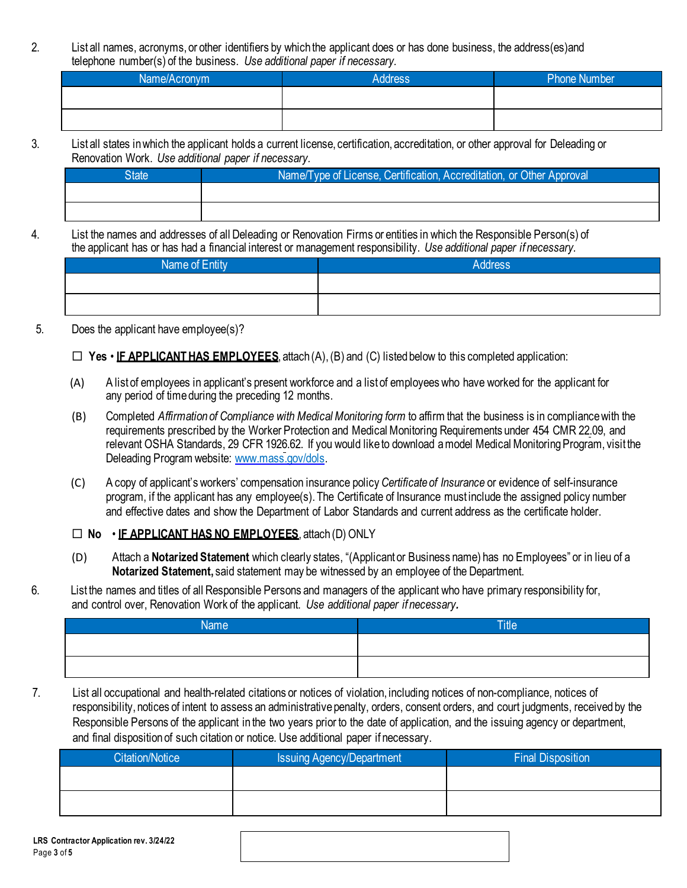2. List all names, acronyms, or other identifiers by which the applicant does or has done business, the address(es)and telephone number(s) of the business. *Use additional paper if necessary.*

| Name/Acronym | <b>Address</b> | <b>Phone Number</b> |
|--------------|----------------|---------------------|
|              |                |                     |
|              |                |                     |
|              |                |                     |

3. List all states inwhich the applicant holds a current license, certification, accreditation, or other approval for Deleading or Renovation Work. *Use additional paper if necessary.*

| state' | Name/Type of License, Certification, Accreditation, or Other Approval |
|--------|-----------------------------------------------------------------------|
|        |                                                                       |
|        |                                                                       |

4. List the names and addresses of all Deleading or Renovation Firms or entities in which the Responsible Person(s) of the applicant has or has had a financial interest or management responsibility. *Use additional paper if necessary.*

| Name of Entity | <b>Address</b> |
|----------------|----------------|
|                |                |
|                |                |

5. Does the applicant have employee(s)?

### $\Box$  **Yes** • **IF APPLICANT HAS EMPLOYEES**, attach (A), (B) and (C) listed below to this completed application:

- (A) A list of employees in applicant's present workforce and a list of employees who have worked for the applicant for any period of time during the preceding 12 months.
- (B) Completed *Affirmation of Compliance with Medical Monitoring form* to affirm that the business is in compliance with the requirements prescribed by the Worker Protection and Medical Monitoring Requirements under 454 CMR 22.09, and relevant OSHA Standards, 29 CFR 1926.62. If you would like to download a model Medical Monitoring Program, visit the Deleading Program website[: www.mass.gov/dols.](http://www.mass.gov/dols)
- (C) A copy of applicant's workers' compensation insurance policy *Certificate of Insurance* or evidence of self-insurance program, if the applicant has any employee(s).The Certificate of Insurance must include the assigned policy number and effective dates and show the Department of Labor Standards and current address as the certificate holder.

### **No** • **IF APPLICANT HAS NO EMPLOYEES**, attach (D) ONLY

- (D) Attach a **Notarized Statement** which clearly states, "(Applicant or Business name) has no Employees" or in lieu of a **Notarized Statement,** said statement may be witnessed by an employee of the Department.
- 6. List the names and titles of all Responsible Persons and managers of the applicant who have primary responsibility for, and control over, Renovation Work of the applicant. *Use additional paper if necessary.*

| <b>Name</b> | Tille |
|-------------|-------|
|             |       |
|             |       |

7. List all occupational and health-related citations or notices of violation, including notices of non-compliance, notices of responsibility, notices of intent to assess an administrative penalty, orders, consent orders, and court judgments, received by the Responsible Persons of the applicant in the two years prior to the date of application, and the issuing agency or department, and final disposition of such citation or notice. Use additional paper if necessary.

| Citation/Notice | Issuing Agency/Department | <b>Final Disposition</b> |  |  |
|-----------------|---------------------------|--------------------------|--|--|
|                 |                           |                          |  |  |
|                 |                           |                          |  |  |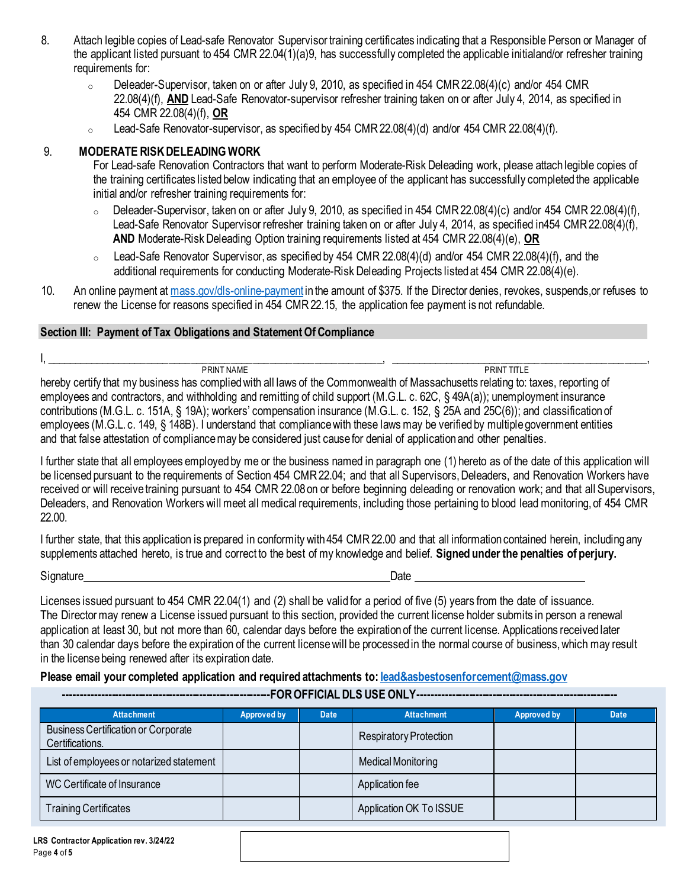- 8. Attach legible copies of Lead-safe Renovator Supervisor training certificates indicating that a Responsible Person or Manager of the applicant listed pursuant to 454 CMR 22.04(1)(a)9, has successfully completed the applicable initialand/or refresher training requirements for:
	- $\circ$  Deleader-Supervisor, taken on or after July 9, 2010, as specified in 454 CMR 22.08(4)(c) and/or 454 CMR 22.08(4)(f), **AND** Lead-Safe Renovator-supervisor refresher training taken on or after July 4, 2014, as specified in 454 CMR 22.08(4)(f), **OR**
	- <sup>o</sup> Lead-Safe Renovator-supervisor, as specified by 454 CMR22.08(4)(d) and/or 454 CMR 22.08(4)(f)*.*

### 9. **MODERATE RISKDELEADINGWORK**

For Lead-safe Renovation Contractors that want to perform Moderate-Risk Deleading work, please attach legible copies of the training certificates listed below indicating that an employee of the applicant has successfully completed the applicable initial and/or refresher training requirements for:

- $\circ$  Deleader-Supervisor, taken on or after July 9, 2010, as specified in 454 CMR 22.08(4)(c) and/or 454 CMR 22.08(4)(f), Lead-Safe Renovator Supervisor refresher training taken on or after July 4, 2014, as specified in454 CMR 22.08(4)(f), **AND** Moderate-Risk Deleading Option training requirements listed at 454 CMR 22.08(4)(e), **OR**
- <sup>o</sup> Lead-Safe Renovator Supervisor, as specified by 454 CMR 22.08(4)(d) and/or 454 CMR 22.08(4)(f), and the additional requirements for conducting Moderate-Risk Deleading Projects listed at 454 CMR 22.08(4)(e).
- 10. An online payment at [mass.gov/dls-online-payment](http://www.mass.gov/dls-online-payment) in the amount of \$375. If the Director denies, revokes, suspends,or refuses to renew the License for reasons specified in 454 CMR 22.15, the application fee payment is not refundable.

#### **Section III: Payment of Tax Obligations and StatementOf Compliance**

#### I, \_\_\_\_\_\_\_\_\_\_\_\_\_\_\_\_\_\_\_\_\_\_\_\_\_\_\_\_\_\_\_\_\_\_\_\_\_\_\_\_\_\_\_\_\_\_\_\_\_\_\_\_\_\_\_\_\_\_\_\_, \_\_\_\_\_\_\_\_\_\_\_\_\_\_\_\_\_\_\_\_\_\_\_\_\_\_\_\_\_\_\_\_\_\_\_\_\_\_\_\_\_\_\_\_\_\_,

PRINT NAME PRINT TITLE hereby certify that my business has compliedwith all laws of the Commonwealth of Massachusetts relating to: taxes, reporting of employees and contractors, and withholding and remitting of child support (M.G.L. c. 62C, § 49A(a)); unemployment insurance contributions (M.G.L. c. 151A, § 19A); workers' compensation insurance (M.G.L. c. 152, § 25A and 25C(6)); and classification of employees (M.G.L. c. 149, § 148B). I understand that compliancewith these lawsmay be verified by multiple government entities and that false attestation of compliancemay be considered just cause for denial of applicationand other penalties.

I further state that all employees employedby me or the business named in paragraph one (1) hereto as of the date of this application will be licensed pursuant to the requirements of Section 454 CMR 22.04; and that all Supervisors, Deleaders, and Renovation Workers have received or will receive training pursuant to 454 CMR 22.08on or before beginning deleading or renovation work; and that all Supervisors, Deleaders, and Renovation Workers will meet all medical requirements, including those pertaining to blood lead monitoring, of 454 CMR 22.00.

I further state, that this application is prepared in conformity with 454 CMR22.00 and that all information contained herein, includingany supplements attached hereto, is true and correct to the best of my knowledge and belief. **Signed under the penalties of perjury.**

Signature Date

Licenses issued pursuant to 454 CMR 22.04(1) and (2) shall be valid for a period of five (5) years from the date of issuance. The Director may renew a License issued pursuant to this section, provided the current license holder submits in person a renewal application at least 30, but not more than 60, calendar days before the expiration of the current license. Applications received later than 30 calendar days before the expiration of the current license will be processed in the normal course of business, which may result in the license being renewed after its expiration date.

#### **Please email your completed application and required attachments to: [lead&asbestosenforcement@mass.gov](mailto:lead&asbestosenforcement@mass.gov)**

**-------------------------------------------------------------FOR OFFICIAL DLS USE ONLY-----------------------------------------------------------**

| <b>Attachment</b>                                             | <b>Approved by</b> | <b>Date</b> | <b>Attachment</b>       | <b>Approved by</b> | <b>Date</b> |
|---------------------------------------------------------------|--------------------|-------------|-------------------------|--------------------|-------------|
| <b>Business Certification or Corporate</b><br>Certifications. |                    |             | Respiratory Protection  |                    |             |
| List of employees or notarized statement                      |                    |             | Medical Monitoring      |                    |             |
| WC Certificate of Insurance                                   |                    |             | Application fee         |                    |             |
| <b>Training Certificates</b>                                  |                    |             | Application OK To ISSUE |                    |             |